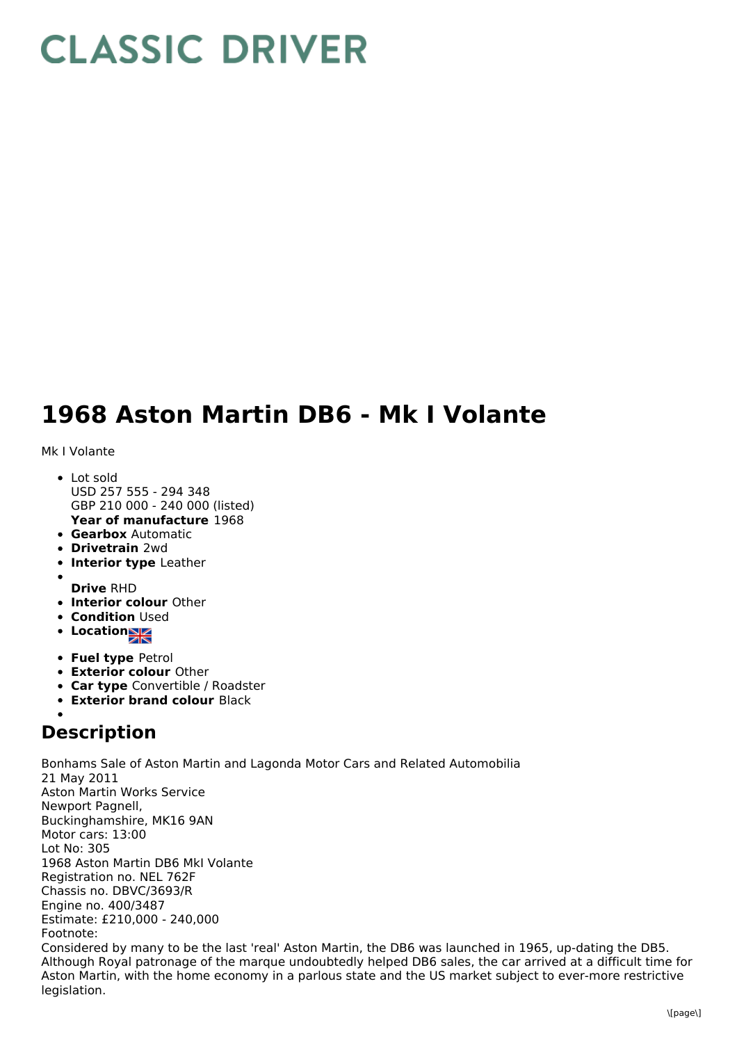## **CLASSIC DRIVER**

## **1968 Aston Martin DB6 - Mk I Volante**

Mk I Volante

- **Year of manufacture** 1968 • Lot sold USD 257 555 - 294 348 GBP 210 000 - 240 000 (listed)
- **Gearbox** Automatic
- **Drivetrain** 2wd
- **Interior type** Leather
- 
- **Drive** RHD
- **Interior colour** Other
- **Condition Used**
- **Location**
- **Fuel type** Petrol
- **Exterior colour** Other
- **Car type** Convertible / Roadster
- **Exterior brand colour** Black

## **Description**

Bonhams Sale of Aston Martin and Lagonda Motor Cars and Related Automobilia 21 May 2011 Aston Martin Works Service Newport Pagnell, Buckinghamshire, MK16 9AN Motor cars: 13:00 Lot No: 305 1968 Aston Martin DB6 MkI Volante Registration no. NEL 762F Chassis no. DBVC/3693/R Engine no. 400/3487 Estimate: £210,000 - 240,000 Footnote: Considered by many to be the last 'real' Aston Martin, the DB6 was launched in 1965, up-dating the DB5. Although Royal patronage of the marque undoubtedly helped DB6 sales, the car arrived at a difficult time for Aston Martin, with the home economy in a parlous state and the US market subject to ever-more restrictive legislation.